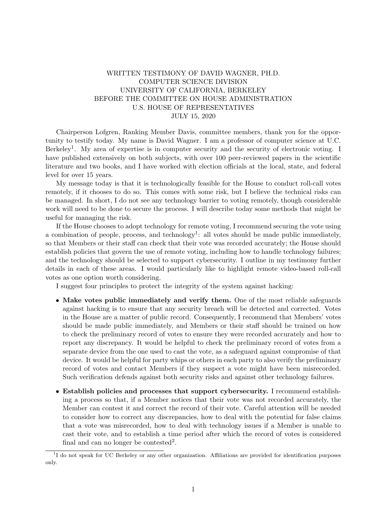## WRITTEN TESTIMONY OF DAVID WAGNER, PH.D. COMPUTER SCIENCE DIVISION UNIVERSITY OF CALIFORNIA, BERKELEY BEFORE THE COMMITTEE ON HOUSE ADMINISTRATION U.S. HOUSE OF REPRESENTATIVES JULY 15, 2020

Chairperson Lofgren, Ranking Member Davis, committee members, thank you for the opportunity to testify today. My name is David Wagner. I am a professor of computer science at U.C. Berkeley<sup>1</sup>. My area of expertise is in computer security and the security of electronic voting. I have published extensively on both subjects, with over 100 peer-reviewed papers in the scientific literature and two books, and I have worked with election officials at the local, state, and federal level for over 15 years.

My message today is that it is technologically feasible for the House to conduct roll-call votes remotely, if it chooses to do so. This comes with some risk, but I believe the technical risks can be managed. In short, I do not see any technology barrier to voting remotely, though considerable work will need to be done to secure the process. I will describe today some methods that might be useful for managing the risk.

If the House chooses to adopt technology for remote voting, I recommend securing the vote using a combination of people, process, and technology<sup>1</sup>: all votes should be made public immediately, so that Members or their staff can check that their vote was recorded accurately; the House should establish policies that govern the use of remote voting, including how to handle technology failures; and the technology should be selected to support cybersecurity. I outline in my testimony further details in each of these areas. I would particularly like to highlight remote video-based roll-call votes as one option worth considering.

I suggest four principles to protect the integrity of the system against hacking:

- Make votes public immediately and verify them. One of the most reliable safeguards against hacking is to ensure that any security breach will be detected and corrected. Votes in the House are a matter of public record. Consequently, I recommend that Members' votes should be made public immediately, and Members or their staff should be trained on how to check the preliminary record of votes to ensure they were recorded accurately and how to report any discrepancy. It would be helpful to check the preliminary record of votes from a separate device from the one used to cast the vote, as a safeguard against compromise of that device. It would be helpful for party whips or others in each party to also verify the preliminary record of votes and contact Members if they suspect a vote might have been misrecorded. Such verification defends against both security risks and against other technology failures.
- Establish policies and processes that support cybersecurity. I recommend establishing a process so that, if a Member notices that their vote was not recorded accurately, the Member can contest it and correct the record of their vote. Careful attention will be needed to consider how to correct any discrepancies, how to deal with the potential for false claims that a vote was misrecorded, how to deal with technology issues if a Member is unable to cast their vote, and to establish a time period after which the record of votes is considered final and can no longer be contested<sup>2</sup>.

<sup>&</sup>lt;sup>1</sup>I do not speak for UC Berkeley or any other organization. Affiliations are provided for identification purposes only.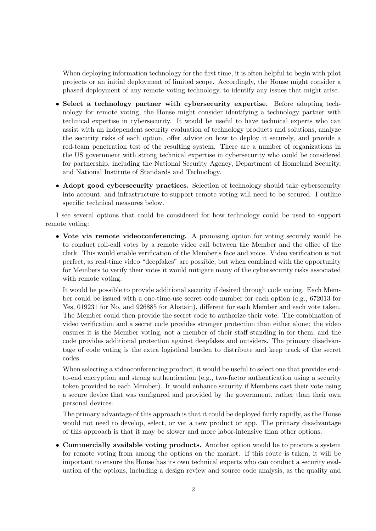When deploying information technology for the first time, it is often helpful to begin with pilot projects or an initial deployment of limited scope. Accordingly, the House might consider a phased deployment of any remote voting technology, to identify any issues that might arise.

- Select a technology partner with cybersecurity expertise. Before adopting technology for remote voting, the House might consider identifying a technology partner with technical expertise in cybersecurity. It would be useful to have technical experts who can assist with an independent security evaluation of technology products and solutions, analyze the security risks of each option, offer advice on how to deploy it securely, and provide a red-team penetration test of the resulting system. There are a number of organizations in the US government with strong technical expertise in cybersecurity who could be considered for partnership, including the National Security Agency, Department of Homeland Security, and National Institute of Standards and Technology.
- Adopt good cybersecurity practices. Selection of technology should take cybersecurity into account, and infrastructure to support remote voting will need to be secured. I outline specific technical measures below.

I see several options that could be considered for how technology could be used to support remote voting:

• Vote via remote videoconferencing. A promising option for voting securely would be to conduct roll-call votes by a remote video call between the Member and the office of the clerk. This would enable verification of the Member's face and voice. Video verification is not perfect, as real-time video "deepfakes" are possible, but when combined with the opportunity for Members to verify their votes it would mitigate many of the cybersecurity risks associated with remote voting.

It would be possible to provide additional security if desired through code voting. Each Member could be issued with a one-time-use secret code number for each option (e.g., 672013 for Yes, 019231 for No, and 926885 for Abstain), different for each Member and each vote taken. The Member could then provide the secret code to authorize their vote. The combination of video verification and a secret code provides stronger protection than either alone: the video ensures it is the Member voting, not a member of their staff standing in for them, and the code provides additional protection against deepfakes and outsiders. The primary disadvantage of code voting is the extra logistical burden to distribute and keep track of the secret codes.

When selecting a videoconferencing product, it would be useful to select one that provides endto-end encryption and strong authentication (e.g., two-factor authentication using a security token provided to each Member). It would enhance security if Members cast their vote using a secure device that was configured and provided by the government, rather than their own personal devices.

The primary advantage of this approach is that it could be deployed fairly rapidly, as the House would not need to develop, select, or vet a new product or app. The primary disadvantage of this approach is that it may be slower and more labor-intensive than other options.

• Commercially available voting products. Another option would be to procure a system for remote voting from among the options on the market. If this route is taken, it will be important to ensure the House has its own technical experts who can conduct a security evaluation of the options, including a design review and source code analysis, as the quality and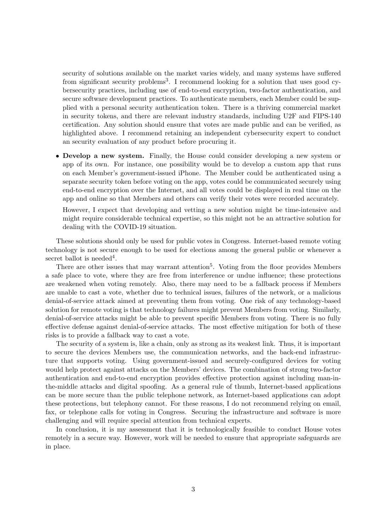security of solutions available on the market varies widely, and many systems have suffered from significant security problems<sup>3</sup>. I recommend looking for a solution that uses good cybersecurity practices, including use of end-to-end encryption, two-factor authentication, and secure software development practices. To authenticate members, each Member could be supplied with a personal security authentication token. There is a thriving commercial market in security tokens, and there are relevant industry standards, including U2F and FIPS-140 certification. Any solution should ensure that votes are made public and can be verified, as highlighted above. I recommend retaining an independent cybersecurity expert to conduct an security evaluation of any product before procuring it.

• Develop a new system. Finally, the House could consider developing a new system or app of its own. For instance, one possibility would be to develop a custom app that runs on each Member's government-issued iPhone. The Member could be authenticated using a separate security token before voting on the app, votes could be communicated securely using end-to-end encryption over the Internet, and all votes could be displayed in real time on the app and online so that Members and others can verify their votes were recorded accurately.

However, I expect that developing and vetting a new solution might be time-intensive and might require considerable technical expertise, so this might not be an attractive solution for dealing with the COVID-19 situation.

These solutions should only be used for public votes in Congress. Internet-based remote voting technology is not secure enough to be used for elections among the general public or whenever a secret ballot is needed<sup>4</sup>.

There are other issues that may warrant attention<sup>5</sup>. Voting from the floor provides Members a safe place to vote, where they are free from interference or undue influence; these protections are weakened when voting remotely. Also, there may need to be a fallback process if Members are unable to cast a vote, whether due to technical issues, failures of the network, or a malicious denial-of-service attack aimed at preventing them from voting. One risk of any technology-based solution for remote voting is that technology failures might prevent Members from voting. Similarly, denial-of-service attacks might be able to prevent specific Members from voting. There is no fully effective defense against denial-of-service attacks. The most effective mitigation for both of these risks is to provide a fallback way to cast a vote.

The security of a system is, like a chain, only as strong as its weakest link. Thus, it is important to secure the devices Members use, the communication networks, and the back-end infrastructure that supports voting. Using government-issued and securely-configured devices for voting would help protect against attacks on the Members' devices. The combination of strong two-factor authentication and end-to-end encryption provides effective protection against including man-inthe-middle attacks and digital spoofing. As a general rule of thumb, Internet-based applications can be more secure than the public telephone network, as Internet-based applications can adopt these protections, but telephony cannot. For these reasons, I do not recommend relying on email, fax, or telephone calls for voting in Congress. Securing the infrastructure and software is more challenging and will require special attention from technical experts.

In conclusion, it is my assessment that it is technologically feasible to conduct House votes remotely in a secure way. However, work will be needed to ensure that appropriate safeguards are in place.